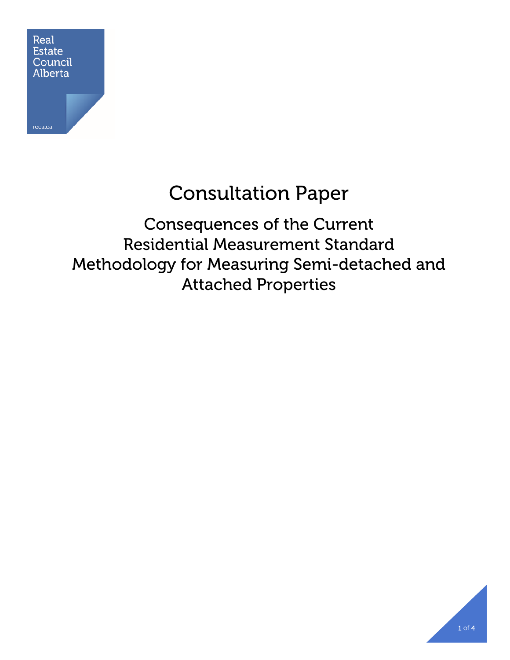

# Consultation Paper

Consequences of the Current Residential Measurement Standard Methodology for Measuring Semi-detached and Attached Properties

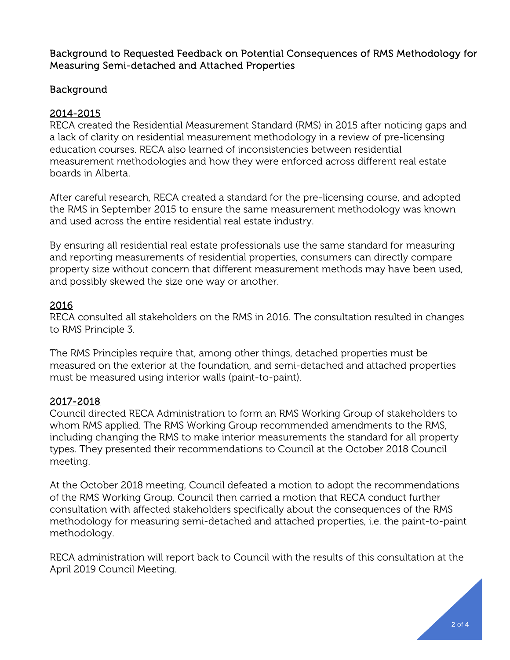Background to Requested Feedback on Potential Consequences of RMS Methodology for Measuring Semi-detached and Attached Properties

## Background

## 2014-2015

RECA created the Residential Measurement Standard (RMS) in 2015 after noticing gaps and a lack of clarity on residential measurement methodology in a review of pre-licensing education courses. RECA also learned of inconsistencies between residential measurement methodologies and how they were enforced across different real estate boards in Alberta.

After careful research, RECA created a standard for the pre-licensing course, and adopted the RMS in September 2015 to ensure the same measurement methodology was known and used across the entire residential real estate industry.

By ensuring all residential real estate professionals use the same standard for measuring and reporting measurements of residential properties, consumers can directly compare property size without concern that different measurement methods may have been used, and possibly skewed the size one way or another.

## 2016

RECA consulted all stakeholders on the RMS in 2016. The consultation resulted in changes to RMS Principle 3.

The RMS Principles require that, among other things, detached properties must be measured on the exterior at the foundation, and semi-detached and attached properties must be measured using interior walls (paint-to-paint).

### 2017-2018

Council directed RECA Administration to form an RMS Working Group of stakeholders to whom RMS applied. The RMS Working Group recommended amendments to the RMS, including changing the RMS to make interior measurements the standard for all property types. They presented their recommendations to Council at the October 2018 Council meeting.

At the October 2018 meeting, Council defeated a motion to adopt the recommendations of the RMS Working Group. Council then carried a motion that RECA conduct further consultation with affected stakeholders specifically about the consequences of the RMS methodology for measuring semi-detached and attached properties, i.e. the paint-to-paint methodology.

RECA administration will report back to Council with the results of this consultation at the April 2019 Council Meeting.

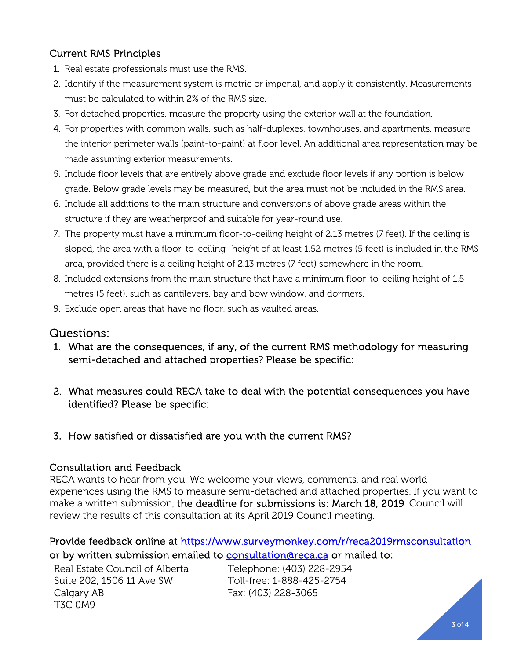# Current RMS Principles

- 1. Real estate professionals must use the RMS.
- 2. Identify if the measurement system is metric or imperial, and apply it consistently. Measurements must be calculated to within 2% of the RMS size.
- 3. For detached properties, measure the property using the exterior wall at the foundation.
- 4. For properties with common walls, such as half-duplexes, townhouses, and apartments, measure the interior perimeter walls (paint-to-paint) at floor level. An additional area representation may be made assuming exterior measurements.
- 5. Include floor levels that are entirely above grade and exclude floor levels if any portion is below grade. Below grade levels may be measured, but the area must not be included in the RMS area.
- 6. Include all additions to the main structure and conversions of above grade areas within the structure if they are weatherproof and suitable for year-round use.
- 7. The property must have a minimum floor-to-ceiling height of 2.13 metres (7 feet). If the ceiling is sloped, the area with a floor-to-ceiling- height of at least 1.52 metres (5 feet) is included in the RMS area, provided there is a ceiling height of 2.13 metres (7 feet) somewhere in the room.
- 8. Included extensions from the main structure that have a minimum floor-to-ceiling height of 1.5 metres (5 feet), such as cantilevers, bay and bow window, and dormers.
- 9. Exclude open areas that have no floor, such as vaulted areas.

# Questions:

- 1. What are the consequences, if any, of the current RMS methodology for measuring semi-detached and attached properties? Please be specific:
- 2. What measures could RECA take to deal with the potential consequences you have identified? Please be specific:
- 3. How satisfied or dissatisfied are you with the current RMS?

### Consultation and Feedback

RECA wants to hear from you. We welcome your views, comments, and real world experiences using the RMS to measure semi-detached and attached properties. If you want to make a written submission, the deadline for submissions is: March 18, 2019. Council will review the results of this consultation at its April 2019 Council meeting.

## Provide feedback online at https://www.surveymonkey.com/r/reca2019rmsconsultation or by written submission emailed to consultation@reca.ca or mailed to:

Real Estate Council of Alberta Suite 202, 1506 11 Ave SW Calgary AB T3C 0M9

Telephone: (403) 228-2954 Toll-free: 1-888-425-2754 Fax: (403) 228-3065